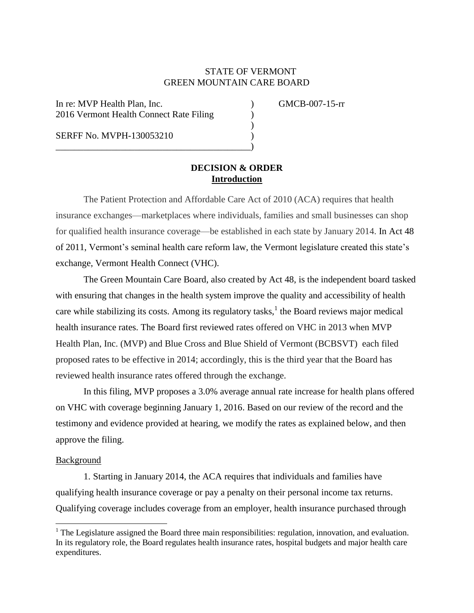## STATE OF VERMONT GREEN MOUNTAIN CARE BOARD

)

In re: MVP Health Plan, Inc. ) GMCB-007-15-rr 2016 Vermont Health Connect Rate Filing )

\_\_\_\_\_\_\_\_\_\_\_\_\_\_\_\_\_\_\_\_\_\_\_\_\_\_\_\_\_\_\_\_\_\_\_\_\_\_\_\_\_\_)

SERFF No. MVPH-130053210 )

# **DECISION & ORDER Introduction**

The Patient Protection and Affordable Care Act of 2010 (ACA) requires that health insurance exchanges—marketplaces where individuals, families and small businesses can shop for qualified health insurance coverage—be established in each state by January 2014. In Act 48 of 2011, Vermont's seminal health care reform law, the Vermont legislature created this state's exchange, Vermont Health Connect (VHC).

The Green Mountain Care Board, also created by Act 48, is the independent board tasked with ensuring that changes in the health system improve the quality and accessibility of health care while stabilizing its costs. Among its regulatory tasks,  $\frac{1}{1}$  the Board reviews major medical health insurance rates. The Board first reviewed rates offered on VHC in 2013 when MVP Health Plan, Inc. (MVP) and Blue Cross and Blue Shield of Vermont (BCBSVT) each filed proposed rates to be effective in 2014; accordingly, this is the third year that the Board has reviewed health insurance rates offered through the exchange.

In this filing, MVP proposes a 3.0% average annual rate increase for health plans offered on VHC with coverage beginning January 1, 2016. Based on our review of the record and the testimony and evidence provided at hearing, we modify the rates as explained below, and then approve the filing.

#### Background

 $\overline{a}$ 

1. Starting in January 2014, the ACA requires that individuals and families have qualifying health insurance coverage or pay a penalty on their personal income tax returns. Qualifying coverage includes coverage from an employer, health insurance purchased through

 $1$  The Legislature assigned the Board three main responsibilities: regulation, innovation, and evaluation. In its regulatory role, the Board regulates health insurance rates, hospital budgets and major health care expenditures.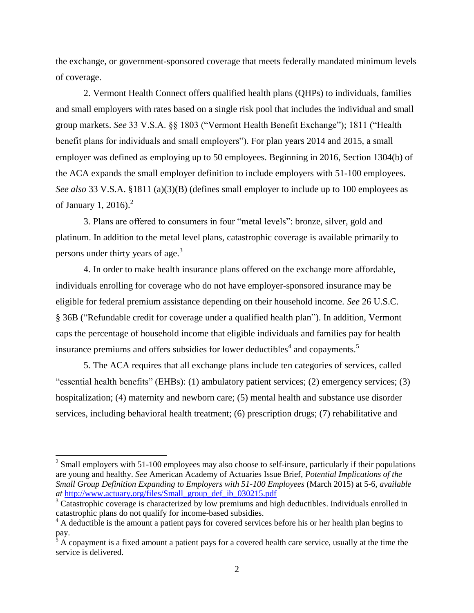the exchange, or government-sponsored coverage that meets federally mandated minimum levels of coverage.

2. Vermont Health Connect offers qualified health plans (QHPs) to individuals, families and small employers with rates based on a single risk pool that includes the individual and small group markets. *See* 33 V.S.A. §§ 1803 ("Vermont Health Benefit Exchange"); 1811 ("Health benefit plans for individuals and small employers"). For plan years 2014 and 2015, a small employer was defined as employing up to 50 employees. Beginning in 2016, Section 1304(b) of the ACA expands the small employer definition to include employers with 51-100 employees. *See also* 33 V.S.A. §1811 (a)(3)(B) (defines small employer to include up to 100 employees as of January 1, 2016). $^2$ 

3. Plans are offered to consumers in four "metal levels": bronze, silver, gold and platinum. In addition to the metal level plans, catastrophic coverage is available primarily to persons under thirty years of age.<sup>3</sup>

4. In order to make health insurance plans offered on the exchange more affordable, individuals enrolling for coverage who do not have employer-sponsored insurance may be eligible for federal premium assistance depending on their household income. *See* 26 U.S.C. § 36B ("Refundable credit for coverage under a qualified health plan"). In addition, Vermont caps the percentage of household income that eligible individuals and families pay for health insurance premiums and offers subsidies for lower deductibles<sup>4</sup> and copayments.<sup>5</sup>

5. The ACA requires that all exchange plans include ten categories of services, called "essential health benefits" (EHBs): (1) ambulatory patient services; (2) emergency services; (3) hospitalization; (4) maternity and newborn care; (5) mental health and substance use disorder services, including behavioral health treatment; (6) prescription drugs; (7) rehabilitative and

 $\overline{a}$ 

 $2^{2}$  Small employers with 51-100 employees may also choose to self-insure, particularly if their populations are young and healthy. *See* American Academy of Actuaries Issue Brief, *Potential Implications of the Small Group Definition Expanding to Employers with 51-100 Employees* (March 2015) at 5-6, *available at* [http://www.actuary.org/files/Small\\_group\\_def\\_ib\\_030215.pdf](http://www.actuary.org/files/Small_group_def_ib_030215.pdf)

<sup>&</sup>lt;sup>3</sup> Catastrophic coverage is characterized by low premiums and high deductibles. Individuals enrolled in catastrophic plans do not qualify for income-based subsidies.

<sup>&</sup>lt;sup>4</sup> A deductible is the amount a patient pays for covered services before his or her health plan begins to pay.

 $<sup>5</sup>$  A copayment is a fixed amount a patient pays for a covered health care service, usually at the time the</sup> service is delivered.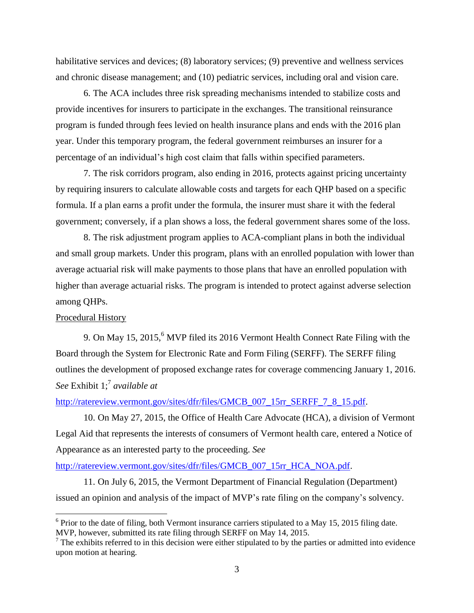habilitative services and devices; (8) laboratory services; (9) preventive and wellness services and chronic disease management; and (10) pediatric services, including oral and vision care.

6. The ACA includes three risk spreading mechanisms intended to stabilize costs and provide incentives for insurers to participate in the exchanges. The transitional reinsurance program is funded through fees levied on health insurance plans and ends with the 2016 plan year. Under this temporary program, the federal government reimburses an insurer for a percentage of an individual's high cost claim that falls within specified parameters.

7. The risk corridors program, also ending in 2016, protects against pricing uncertainty by requiring insurers to calculate allowable costs and targets for each QHP based on a specific formula. If a plan earns a profit under the formula, the insurer must share it with the federal government; conversely, if a plan shows a loss, the federal government shares some of the loss.

8. The risk adjustment program applies to ACA-compliant plans in both the individual and small group markets. Under this program, plans with an enrolled population with lower than average actuarial risk will make payments to those plans that have an enrolled population with higher than average actuarial risks. The program is intended to protect against adverse selection among QHPs.

### Procedural History

l

9. On May 15, 2015, <sup>6</sup> MVP filed its 2016 Vermont Health Connect Rate Filing with the Board through the System for Electronic Rate and Form Filing (SERFF). The SERFF filing outlines the development of proposed exchange rates for coverage commencing January 1, 2016. *See* Exhibit 1;<sup>7</sup> *available at*

## [http://ratereview.vermont.gov/sites/dfr/files/GMCB\\_007\\_15rr\\_SERFF\\_7\\_8\\_15.pdf.](http://ratereview.vermont.gov/sites/dfr/files/GMCB_007_15rr_SERFF_7_8_15.pdf)

10. On May 27, 2015, the Office of Health Care Advocate (HCA), a division of Vermont Legal Aid that represents the interests of consumers of Vermont health care, entered a Notice of Appearance as an interested party to the proceeding. *See*

[http://ratereview.vermont.gov/sites/dfr/files/GMCB\\_007\\_15rr\\_HCA\\_NOA.pdf.](http://ratereview.vermont.gov/sites/dfr/files/GMCB_007_15rr_HCA_NOA.pdf)

11. On July 6, 2015, the Vermont Department of Financial Regulation (Department) issued an opinion and analysis of the impact of MVP's rate filing on the company's solvency.

 $6$  Prior to the date of filing, both Vermont insurance carriers stipulated to a May 15, 2015 filing date. MVP, however, submitted its rate filing through SERFF on May 14, 2015.

 $<sup>7</sup>$  The exhibits referred to in this decision were either stipulated to by the parties or admitted into evidence</sup> upon motion at hearing.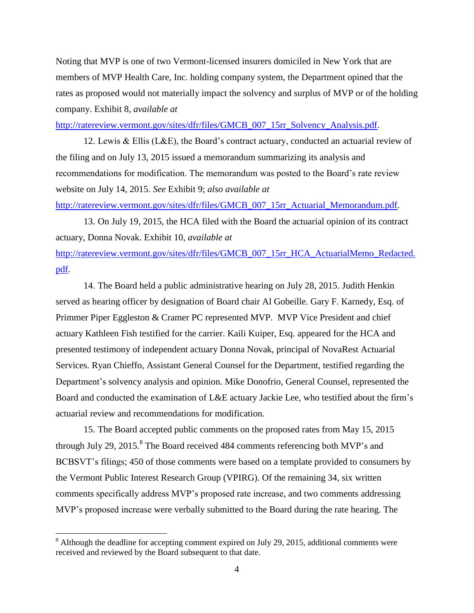Noting that MVP is one of two Vermont-licensed insurers domiciled in New York that are members of MVP Health Care, Inc. holding company system, the Department opined that the rates as proposed would not materially impact the solvency and surplus of MVP or of the holding company. Exhibit 8, *available at*

[http://ratereview.vermont.gov/sites/dfr/files/GMCB\\_007\\_15rr\\_Solvency\\_Analysis.pdf.](http://ratereview.vermont.gov/sites/dfr/files/GMCB_007_15rr_Solvency_Analysis.pdf)

12. Lewis & Ellis (L&E), the Board's contract actuary, conducted an actuarial review of the filing and on July 13, 2015 issued a memorandum summarizing its analysis and recommendations for modification. The memorandum was posted to the Board's rate review website on July 14, 2015. *See* Exhibit 9; *also available at*

[http://ratereview.vermont.gov/sites/dfr/files/GMCB\\_007\\_15rr\\_Actuarial\\_Memorandum.pdf.](http://ratereview.vermont.gov/sites/dfr/files/GMCB_007_15rr_Actuarial_Memorandum.pdf)

13. On July 19, 2015, the HCA filed with the Board the actuarial opinion of its contract actuary, Donna Novak. Exhibit 10, *available at*

[http://ratereview.vermont.gov/sites/dfr/files/GMCB\\_007\\_15rr\\_HCA\\_ActuarialMemo\\_Redacted.](http://ratereview.vermont.gov/sites/dfr/files/GMCB_007_15rr_HCA_ActuarialMemo_Redacted.pdf) [pdf.](http://ratereview.vermont.gov/sites/dfr/files/GMCB_007_15rr_HCA_ActuarialMemo_Redacted.pdf)

14. The Board held a public administrative hearing on July 28, 2015. Judith Henkin served as hearing officer by designation of Board chair Al Gobeille. Gary F. Karnedy, Esq. of Primmer Piper Eggleston & Cramer PC represented MVP. MVP Vice President and chief actuary Kathleen Fish testified for the carrier. Kaili Kuiper, Esq. appeared for the HCA and presented testimony of independent actuary Donna Novak, principal of NovaRest Actuarial Services. Ryan Chieffo, Assistant General Counsel for the Department, testified regarding the Department's solvency analysis and opinion. Mike Donofrio, General Counsel, represented the Board and conducted the examination of L&E actuary Jackie Lee, who testified about the firm's actuarial review and recommendations for modification.

15. The Board accepted public comments on the proposed rates from May 15, 2015 through July 29, 2015.<sup>8</sup> The Board received 484 comments referencing both MVP's and BCBSVT's filings; 450 of those comments were based on a template provided to consumers by the Vermont Public Interest Research Group (VPIRG). Of the remaining 34, six written comments specifically address MVP's proposed rate increase, and two comments addressing MVP's proposed increase were verbally submitted to the Board during the rate hearing. The

 $\overline{\phantom{a}}$ 

 $8$  Although the deadline for accepting comment expired on July 29, 2015, additional comments were received and reviewed by the Board subsequent to that date.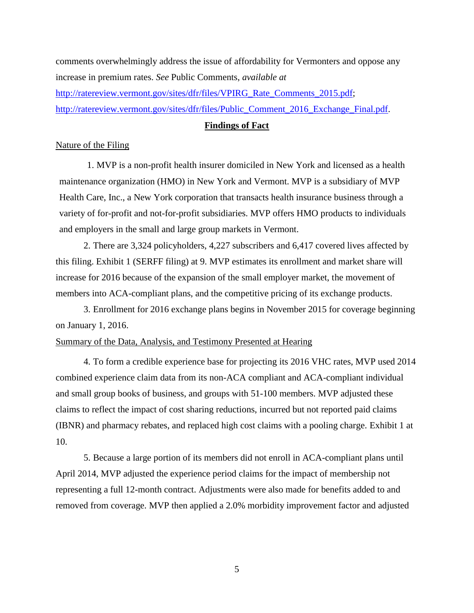comments overwhelmingly address the issue of affordability for Vermonters and oppose any increase in premium rates. *See* Public Comments, *available at* [http://ratereview.vermont.gov/sites/dfr/files/VPIRG\\_Rate\\_Comments\\_2015.pdf;](http://ratereview.vermont.gov/sites/dfr/files/VPIRG_Rate_Comments_2015.pdf) [http://ratereview.vermont.gov/sites/dfr/files/Public\\_Comment\\_2016\\_Exchange\\_Final.pdf.](http://ratereview.vermont.gov/sites/dfr/files/Public_Comment_2016_Exchange_Final.pdf)

### **Findings of Fact**

#### Nature of the Filing

1. MVP is a non-profit health insurer domiciled in New York and licensed as a health maintenance organization (HMO) in New York and Vermont. MVP is a subsidiary of MVP Health Care, Inc., a New York corporation that transacts health insurance business through a variety of for-profit and not-for-profit subsidiaries. MVP offers HMO products to individuals and employers in the small and large group markets in Vermont.

2. There are 3,324 policyholders, 4,227 subscribers and 6,417 covered lives affected by this filing. Exhibit 1 (SERFF filing) at 9. MVP estimates its enrollment and market share will increase for 2016 because of the expansion of the small employer market, the movement of members into ACA-compliant plans, and the competitive pricing of its exchange products.

3. Enrollment for 2016 exchange plans begins in November 2015 for coverage beginning on January 1, 2016.

## Summary of the Data, Analysis, and Testimony Presented at Hearing

4. To form a credible experience base for projecting its 2016 VHC rates, MVP used 2014 combined experience claim data from its non-ACA compliant and ACA-compliant individual and small group books of business, and groups with 51-100 members. MVP adjusted these claims to reflect the impact of cost sharing reductions, incurred but not reported paid claims (IBNR) and pharmacy rebates, and replaced high cost claims with a pooling charge. Exhibit 1 at 10.

5. Because a large portion of its members did not enroll in ACA-compliant plans until April 2014, MVP adjusted the experience period claims for the impact of membership not representing a full 12-month contract. Adjustments were also made for benefits added to and removed from coverage. MVP then applied a 2.0% morbidity improvement factor and adjusted

5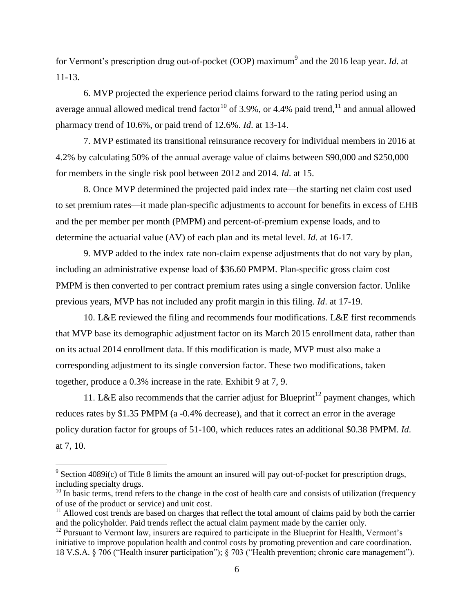for Vermont's prescription drug out-of-pocket (OOP) maximum<sup>9</sup> and the 2016 leap year. *Id*. at 11-13.

6. MVP projected the experience period claims forward to the rating period using an average annual allowed medical trend factor<sup>10</sup> of 3.9%, or 4.4% paid trend,<sup>11</sup> and annual allowed pharmacy trend of 10.6%, or paid trend of 12.6%. *Id*. at 13-14.

7. MVP estimated its transitional reinsurance recovery for individual members in 2016 at 4.2% by calculating 50% of the annual average value of claims between \$90,000 and \$250,000 for members in the single risk pool between 2012 and 2014. *Id*. at 15.

8. Once MVP determined the projected paid index rate—the starting net claim cost used to set premium rates—it made plan-specific adjustments to account for benefits in excess of EHB and the per member per month (PMPM) and percent-of-premium expense loads, and to determine the actuarial value (AV) of each plan and its metal level. *Id*. at 16-17.

9. MVP added to the index rate non-claim expense adjustments that do not vary by plan, including an administrative expense load of \$36.60 PMPM. Plan-specific gross claim cost PMPM is then converted to per contract premium rates using a single conversion factor. Unlike previous years, MVP has not included any profit margin in this filing. *Id*. at 17-19.

10. L&E reviewed the filing and recommends four modifications. L&E first recommends that MVP base its demographic adjustment factor on its March 2015 enrollment data, rather than on its actual 2014 enrollment data. If this modification is made, MVP must also make a corresponding adjustment to its single conversion factor. These two modifications, taken together, produce a 0.3% increase in the rate. Exhibit 9 at 7, 9.

11. L&E also recommends that the carrier adjust for Blueprint<sup>12</sup> payment changes, which reduces rates by \$1.35 PMPM (a -0.4% decrease), and that it correct an error in the average policy duration factor for groups of 51-100, which reduces rates an additional \$0.38 PMPM. *Id*. at 7, 10.

 $\overline{\phantom{a}}$ 

 $9^9$  Section 4089i(c) of Title 8 limits the amount an insured will pay out-of-pocket for prescription drugs, including specialty drugs.

 $10$  In basic terms, trend refers to the change in the cost of health care and consists of utilization (frequency of use of the product or service) and unit cost.

 $11$  Allowed cost trends are based on charges that reflect the total amount of claims paid by both the carrier and the policyholder. Paid trends reflect the actual claim payment made by the carrier only.

 $12$  Pursuant to Vermont law, insurers are required to participate in the Blueprint for Health, Vermont's initiative to improve population health and control costs by promoting prevention and care coordination. 18 V.S.A. § 706 ("Health insurer participation"); § 703 ("Health prevention; chronic care management").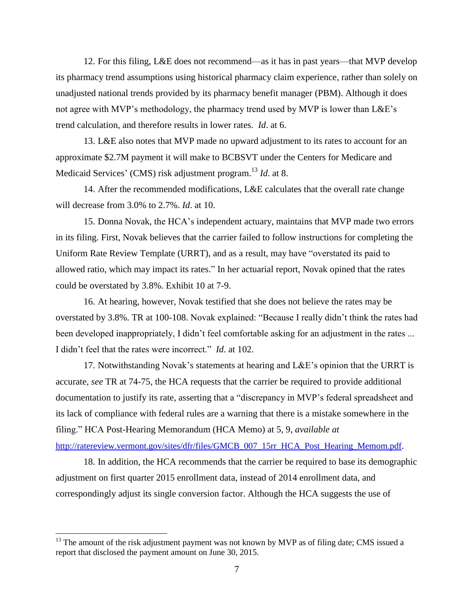12. For this filing, L&E does not recommend—as it has in past years—that MVP develop its pharmacy trend assumptions using historical pharmacy claim experience, rather than solely on unadjusted national trends provided by its pharmacy benefit manager (PBM). Although it does not agree with MVP's methodology, the pharmacy trend used by MVP is lower than L&E's trend calculation, and therefore results in lower rates. *Id*. at 6.

13. L&E also notes that MVP made no upward adjustment to its rates to account for an approximate \$2.7M payment it will make to BCBSVT under the Centers for Medicare and Medicaid Services' (CMS) risk adjustment program. <sup>13</sup> *Id*. at 8.

14. After the recommended modifications, L&E calculates that the overall rate change will decrease from 3.0% to 2.7%. *Id*. at 10.

15. Donna Novak, the HCA's independent actuary, maintains that MVP made two errors in its filing. First, Novak believes that the carrier failed to follow instructions for completing the Uniform Rate Review Template (URRT), and as a result, may have "overstated its paid to allowed ratio, which may impact its rates." In her actuarial report, Novak opined that the rates could be overstated by 3.8%. Exhibit 10 at 7-9.

16. At hearing, however, Novak testified that she does not believe the rates may be overstated by 3.8%. TR at 100-108. Novak explained: "Because I really didn't think the rates had been developed inappropriately, I didn't feel comfortable asking for an adjustment in the rates ... I didn't feel that the rates were incorrect." *Id*. at 102.

17. Notwithstanding Novak's statements at hearing and L&E's opinion that the URRT is accurate, *see* TR at 74-75, the HCA requests that the carrier be required to provide additional documentation to justify its rate, asserting that a "discrepancy in MVP's federal spreadsheet and its lack of compliance with federal rules are a warning that there is a mistake somewhere in the filing." HCA Post-Hearing Memorandum (HCA Memo) at 5, 9, *available at*

[http://ratereview.vermont.gov/sites/dfr/files/GMCB\\_007\\_15rr\\_HCA\\_Post\\_Hearing\\_Memom.pdf](http://ratereview.vermont.gov/sites/dfr/files/GMCB_007_15rr_HCA_Post_Hearing_Memom.pdf).

18. In addition, the HCA recommends that the carrier be required to base its demographic adjustment on first quarter 2015 enrollment data, instead of 2014 enrollment data, and correspondingly adjust its single conversion factor. Although the HCA suggests the use of

 $\overline{\phantom{a}}$ 

 $13$  The amount of the risk adjustment payment was not known by MVP as of filing date; CMS issued a report that disclosed the payment amount on June 30, 2015.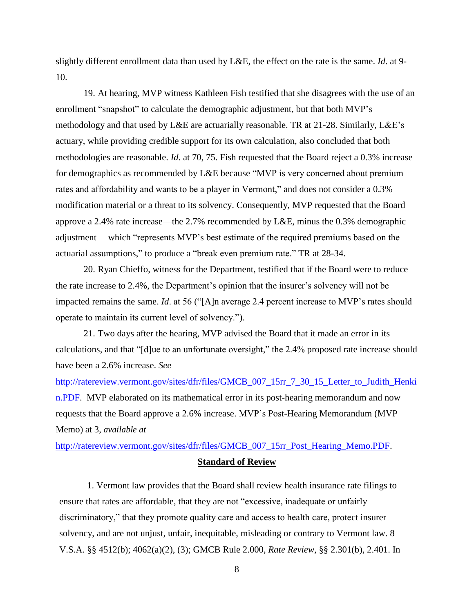slightly different enrollment data than used by L&E, the effect on the rate is the same. *Id*. at 9- 10.

19. At hearing, MVP witness Kathleen Fish testified that she disagrees with the use of an enrollment "snapshot" to calculate the demographic adjustment, but that both MVP's methodology and that used by L&E are actuarially reasonable. TR at 21-28. Similarly, L&E's actuary, while providing credible support for its own calculation, also concluded that both methodologies are reasonable. *Id*. at 70, 75. Fish requested that the Board reject a 0.3% increase for demographics as recommended by L&E because "MVP is very concerned about premium rates and affordability and wants to be a player in Vermont," and does not consider a 0.3% modification material or a threat to its solvency. Consequently, MVP requested that the Board approve a 2.4% rate increase—the 2.7% recommended by L&E, minus the 0.3% demographic adjustment— which "represents MVP's best estimate of the required premiums based on the actuarial assumptions," to produce a "break even premium rate." TR at 28-34.

20. Ryan Chieffo, witness for the Department, testified that if the Board were to reduce the rate increase to 2.4%, the Department's opinion that the insurer's solvency will not be impacted remains the same. *Id*. at 56 ("[A]n average 2.4 percent increase to MVP's rates should operate to maintain its current level of solvency.").

21. Two days after the hearing, MVP advised the Board that it made an error in its calculations, and that "[d]ue to an unfortunate oversight," the 2.4% proposed rate increase should have been a 2.6% increase. *See*

[http://ratereview.vermont.gov/sites/dfr/files/GMCB\\_007\\_15rr\\_7\\_30\\_15\\_Letter\\_to\\_Judith\\_Henki](http://ratereview.vermont.gov/sites/dfr/files/GMCB_007_15rr_7_30_15_Letter_to_Judith_Henkin.PDF) [n.PDF.](http://ratereview.vermont.gov/sites/dfr/files/GMCB_007_15rr_7_30_15_Letter_to_Judith_Henkin.PDF) MVP elaborated on its mathematical error in its post-hearing memorandum and now requests that the Board approve a 2.6% increase. MVP's Post-Hearing Memorandum (MVP Memo) at 3, *available at*

[http://ratereview.vermont.gov/sites/dfr/files/GMCB\\_007\\_15rr\\_Post\\_Hearing\\_Memo.PDF.](http://ratereview.vermont.gov/sites/dfr/files/GMCB_007_15rr_Post_Hearing_Memo.PDF)

#### **Standard of Review**

1. Vermont law provides that the Board shall review health insurance rate filings to ensure that rates are affordable, that they are not "excessive, inadequate or unfairly discriminatory," that they promote quality care and access to health care, protect insurer solvency, and are not unjust, unfair, inequitable, misleading or contrary to Vermont law. 8 V.S.A. §§ 4512(b); 4062(a)(2), (3); GMCB Rule 2.000, *Rate Review*, §§ 2.301(b), 2.401. In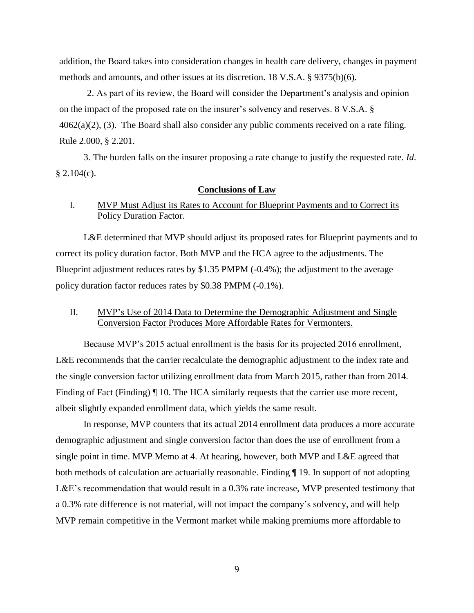addition, the Board takes into consideration changes in health care delivery, changes in payment methods and amounts, and other issues at its discretion. 18 V.S.A. § 9375(b)(6).

2. As part of its review, the Board will consider the Department's analysis and opinion on the impact of the proposed rate on the insurer's solvency and reserves. 8 V.S.A. §  $4062(a)(2)$ , (3). The Board shall also consider any public comments received on a rate filing. Rule 2.000, § 2.201.

3. The burden falls on the insurer proposing a rate change to justify the requested rate. *Id*.  $$2.104(c).$ 

#### **Conclusions of Law**

# I. MVP Must Adjust its Rates to Account for Blueprint Payments and to Correct its Policy Duration Factor.

L&E determined that MVP should adjust its proposed rates for Blueprint payments and to correct its policy duration factor. Both MVP and the HCA agree to the adjustments. The Blueprint adjustment reduces rates by \$1.35 PMPM  $(-0.4\%)$ ; the adjustment to the average policy duration factor reduces rates by \$0.38 PMPM (-0.1%).

## II. MVP's Use of 2014 Data to Determine the Demographic Adjustment and Single Conversion Factor Produces More Affordable Rates for Vermonters.

Because MVP's 2015 actual enrollment is the basis for its projected 2016 enrollment, L&E recommends that the carrier recalculate the demographic adjustment to the index rate and the single conversion factor utilizing enrollment data from March 2015, rather than from 2014. Finding of Fact (Finding)  $\P$  10. The HCA similarly requests that the carrier use more recent, albeit slightly expanded enrollment data, which yields the same result.

In response, MVP counters that its actual 2014 enrollment data produces a more accurate demographic adjustment and single conversion factor than does the use of enrollment from a single point in time. MVP Memo at 4. At hearing, however, both MVP and L&E agreed that both methods of calculation are actuarially reasonable. Finding ¶ 19. In support of not adopting L&E's recommendation that would result in a 0.3% rate increase, MVP presented testimony that a 0.3% rate difference is not material, will not impact the company's solvency, and will help MVP remain competitive in the Vermont market while making premiums more affordable to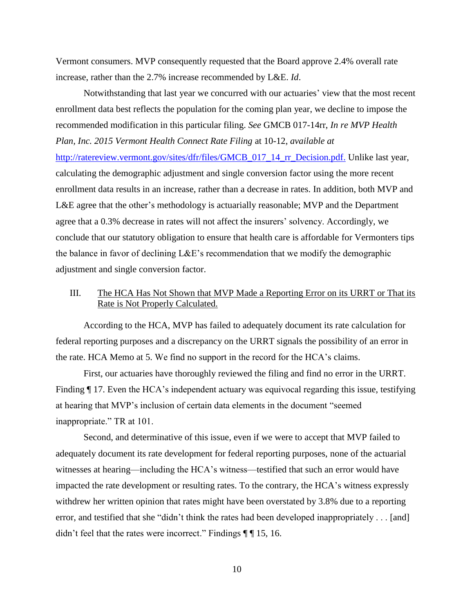Vermont consumers. MVP consequently requested that the Board approve 2.4% overall rate increase, rather than the 2.7% increase recommended by L&E. *Id*.

Notwithstanding that last year we concurred with our actuaries' view that the most recent enrollment data best reflects the population for the coming plan year, we decline to impose the recommended modification in this particular filing. *See* GMCB 017-14rr, *In re MVP Health Plan, Inc. 2015 Vermont Health Connect Rate Filing* at 10-12, *available at* [http://ratereview.vermont.gov/sites/dfr/files/GMCB\\_017\\_14\\_rr\\_Decision.pdf.](http://ratereview.vermont.gov/sites/dfr/files/GMCB_017_14_rr_Decision.pdf) Unlike last year, calculating the demographic adjustment and single conversion factor using the more recent enrollment data results in an increase, rather than a decrease in rates. In addition, both MVP and L&E agree that the other's methodology is actuarially reasonable; MVP and the Department agree that a 0.3% decrease in rates will not affect the insurers' solvency. Accordingly, we conclude that our statutory obligation to ensure that health care is affordable for Vermonters tips the balance in favor of declining L&E's recommendation that we modify the demographic adjustment and single conversion factor.

# III. The HCA Has Not Shown that MVP Made a Reporting Error on its URRT or That its Rate is Not Properly Calculated.

According to the HCA, MVP has failed to adequately document its rate calculation for federal reporting purposes and a discrepancy on the URRT signals the possibility of an error in the rate. HCA Memo at 5. We find no support in the record for the HCA's claims.

First, our actuaries have thoroughly reviewed the filing and find no error in the URRT. Finding ¶ 17. Even the HCA's independent actuary was equivocal regarding this issue, testifying at hearing that MVP's inclusion of certain data elements in the document "seemed inappropriate." TR at 101.

Second, and determinative of this issue, even if we were to accept that MVP failed to adequately document its rate development for federal reporting purposes, none of the actuarial witnesses at hearing—including the HCA's witness—testified that such an error would have impacted the rate development or resulting rates. To the contrary, the HCA's witness expressly withdrew her written opinion that rates might have been overstated by 3.8% due to a reporting error, and testified that she "didn't think the rates had been developed inappropriately . . . [and] didn't feel that the rates were incorrect." Findings  $\P\P$  15, 16.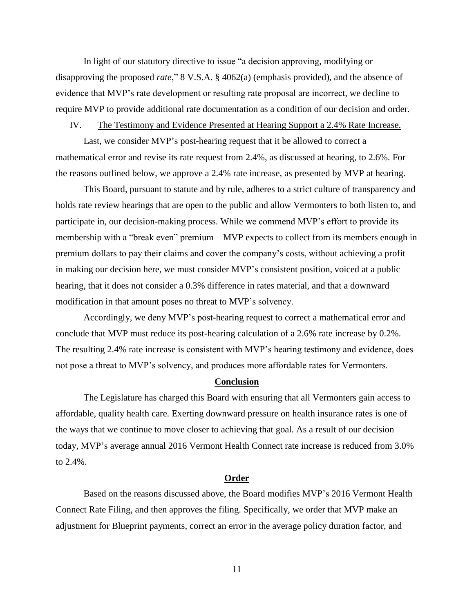In light of our statutory directive to issue "a decision approving, modifying or disapproving the proposed *rate*," 8 V.S.A. § 4062(a) (emphasis provided), and the absence of evidence that MVP's rate development or resulting rate proposal are incorrect, we decline to require MVP to provide additional rate documentation as a condition of our decision and order.

## IV. The Testimony and Evidence Presented at Hearing Support a 2.4% Rate Increase.

Last, we consider MVP's post-hearing request that it be allowed to correct a mathematical error and revise its rate request from 2.4%, as discussed at hearing, to 2.6%. For the reasons outlined below, we approve a 2.4% rate increase, as presented by MVP at hearing.

This Board, pursuant to statute and by rule, adheres to a strict culture of transparency and holds rate review hearings that are open to the public and allow Vermonters to both listen to, and participate in, our decision-making process. While we commend MVP's effort to provide its membership with a "break even" premium—MVP expects to collect from its members enough in premium dollars to pay their claims and cover the company's costs, without achieving a profit in making our decision here, we must consider MVP's consistent position, voiced at a public hearing, that it does not consider a 0.3% difference in rates material, and that a downward modification in that amount poses no threat to MVP's solvency.

Accordingly, we deny MVP's post-hearing request to correct a mathematical error and conclude that MVP must reduce its post-hearing calculation of a 2.6% rate increase by 0.2%. The resulting 2.4% rate increase is consistent with MVP's hearing testimony and evidence, does not pose a threat to MVP's solvency, and produces more affordable rates for Vermonters.

#### **Conclusion**

The Legislature has charged this Board with ensuring that all Vermonters gain access to affordable, quality health care. Exerting downward pressure on health insurance rates is one of the ways that we continue to move closer to achieving that goal. As a result of our decision today, MVP's average annual 2016 Vermont Health Connect rate increase is reduced from 3.0% to 2.4%.

#### **Order**

Based on the reasons discussed above, the Board modifies MVP's 2016 Vermont Health Connect Rate Filing, and then approves the filing. Specifically, we order that MVP make an adjustment for Blueprint payments, correct an error in the average policy duration factor, and

11